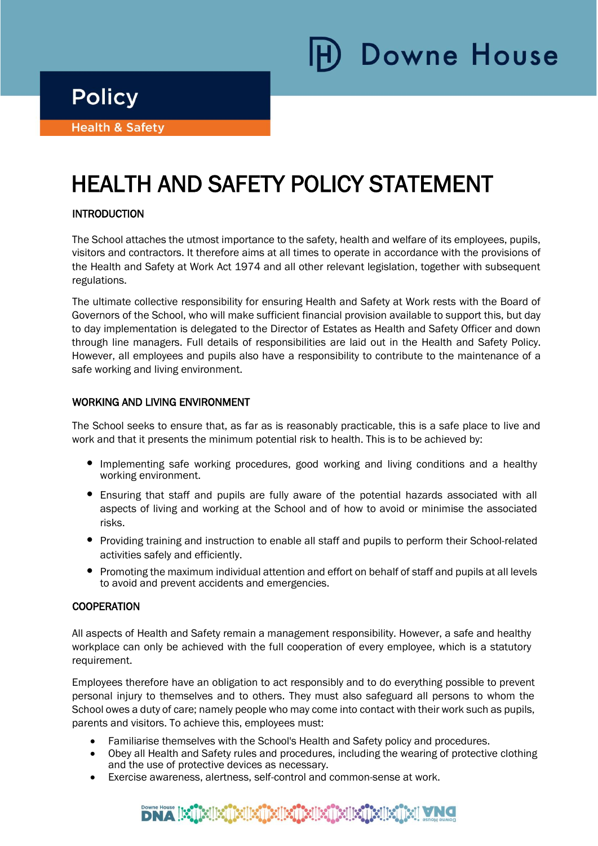**Downe House** 

**Policy** 

i

Ϊ

**Health & Safety** 

# HEALTH AND SAFETY POLICY STATEMENT

# **INTRODUCTION**

The School attaches the utmost importance to the safety, health and welfare of its employees, pupils, visitors and contractors. It therefore aims at all times to operate in accordance with the provisions of the Health and Safety at Work Act 1974 and all other relevant legislation, together with subsequent regulations.

The ultimate collective responsibility for ensuring Health and Safety at Work rests with the Board of Governors of the School, who will make sufficient financial provision available to support this, but day to day implementation is delegated to the Director of Estates as Health and Safety Officer and down through line managers. Full details of responsibilities are laid out in the Health and Safety Policy. However, all employees and pupils also have a responsibility to contribute to the maintenance of a safe working and living environment.

# WORKING AND LIVING ENVIRONMENT

The School seeks to ensure that, as far as is reasonably practicable, this is a safe place to live and work and that it presents the minimum potential risk to health. This is to be achieved by:

- Implementing safe working procedures, good working and living conditions and a healthy working environment.
- Ensuring that staff and pupils are fully aware of the potential hazards associated with all aspects of living and working at the School and of how to avoid or minimise the associated risks.
- Providing training and instruction to enable all staff and pupils to perform their School-related activities safely and efficiently.
- Promoting the maximum individual attention and effort on behalf of staff and pupils at all levels to avoid and prevent accidents and emergencies.

# **COOPERATION**

All aspects of Health and Safety remain a management responsibility. However, a safe and healthy workplace can only be achieved with the full cooperation of every employee, which is a statutory requirement.

Employees therefore have an obligation to act responsibly and to do everything possible to prevent personal injury to themselves and to others. They must also safeguard all persons to whom the School owes a duty of care; namely people who may come into contact with their work such as pupils, parents and visitors. To achieve this, employees must:

- Familiarise themselves with the School's Health and Safety policy and procedures.
- Obey all Health and Safety rules and procedures, including the wearing of protective clothing and the use of protective devices as necessary.
- Exercise awareness, alertness, self-control and common-sense at work.